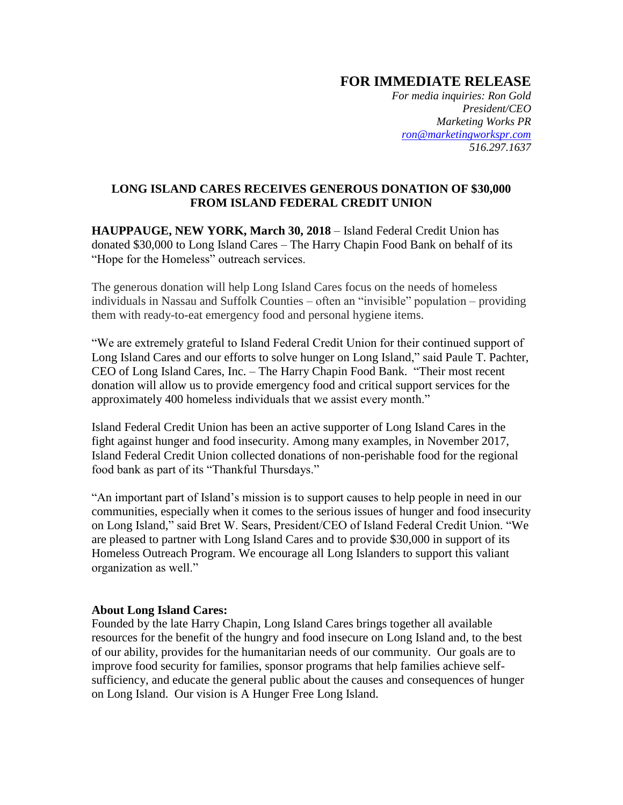## **FOR IMMEDIATE RELEASE**

*For media inquiries: Ron Gold President/CEO Marketing Works PR [ron@marketingworkspr.com](mailto:ron@marketingworkspr.com) 516.297.1637* 

## **LONG ISLAND CARES RECEIVES GENEROUS DONATION OF \$30,000 FROM ISLAND FEDERAL CREDIT UNION**

**HAUPPAUGE, NEW YORK, March 30, 2018** – Island Federal Credit Union has donated \$30,000 to Long Island Cares – The Harry Chapin Food Bank on behalf of its "Hope for the Homeless" outreach services.

The generous donation will help Long Island Cares focus on the needs of homeless individuals in Nassau and Suffolk Counties – often an "invisible" population – providing them with ready-to-eat emergency food and personal hygiene items.

"We are extremely grateful to Island Federal Credit Union for their continued support of Long Island Cares and our efforts to solve hunger on Long Island," said Paule T. Pachter, CEO of Long Island Cares, Inc. – The Harry Chapin Food Bank. "Their most recent donation will allow us to provide emergency food and critical support services for the approximately 400 homeless individuals that we assist every month."

Island Federal Credit Union has been an active supporter of Long Island Cares in the fight against hunger and food insecurity. Among many examples, in November 2017, Island Federal Credit Union collected donations of non-perishable food for the regional food bank as part of its "Thankful Thursdays."

"An important part of Island's mission is to support causes to help people in need in our communities, especially when it comes to the serious issues of hunger and food insecurity on Long Island," said Bret W. Sears, President/CEO of Island Federal Credit Union. "We are pleased to partner with Long Island Cares and to provide \$30,000 in support of its Homeless Outreach Program. We encourage all Long Islanders to support this valiant organization as well."

## **About Long Island Cares:**

Founded by the late Harry Chapin, Long Island Cares brings together all available resources for the benefit of the hungry and food insecure on Long Island and, to the best of our ability, provides for the humanitarian needs of our community. Our goals are to improve food security for families, sponsor programs that help families achieve selfsufficiency, and educate the general public about the causes and consequences of hunger on Long Island. Our vision is A Hunger Free Long Island.